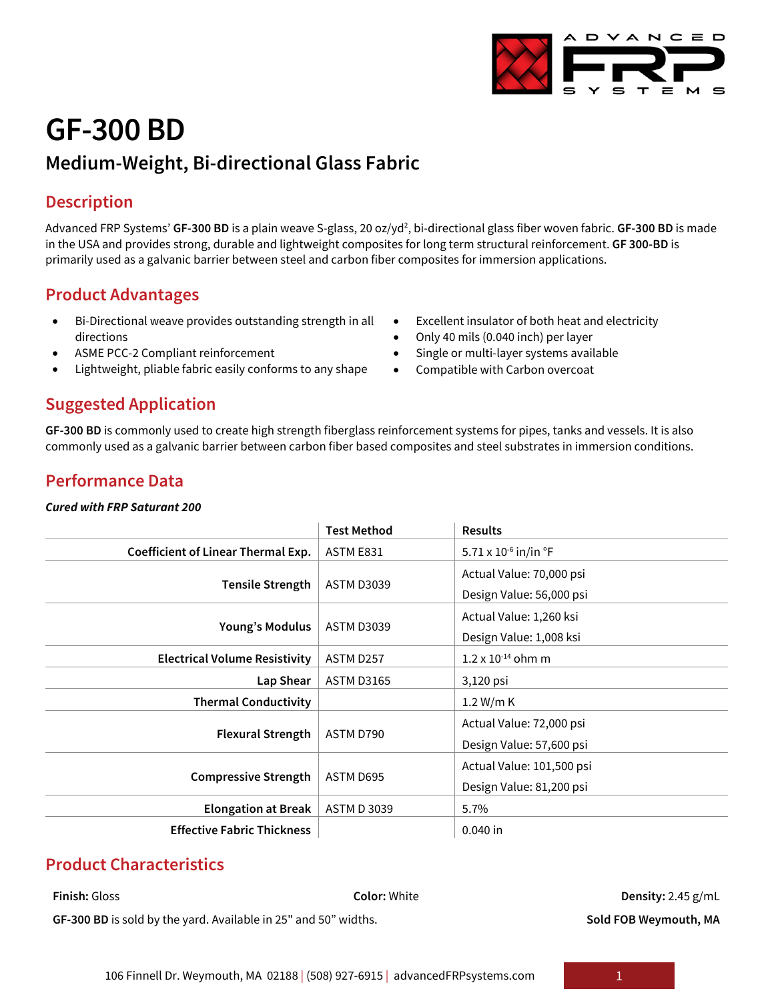## **GF-300 BD**

### **Medium-Weight, Bi-directional Glass Fabric**

### **Description**

Advanced FRP Systems' **GF-300 BD** is a plain weave S-glass, 20 oz/yd<sup>2</sup>, bi-directional glass fiber woven fabric. **GF-300 BD** is made in the USA and provides strong, durable and lightweight composites for long term structural reinforcement. **GF 300-BD** is primarily used as a galvanic barrier between steel and carbon fiber composites for immersion applications.

#### **Product Advantages**

- Bi-Directional weave provides outstanding strength in all directions
- ASME PCC-2 Compliant reinforcement
- Lightweight, pliable fabric easily conforms to any shape
- Excellent insulator of both heat and electricity
- Only 40 mils (0.040 inch) per layer
- Single or multi-layer systems available
- Compatible with Carbon overcoat

#### **Suggested Application**

**GF-300 BD** is commonly used to create high strength fiberglass reinforcement systems for pipes, tanks and vessels. It is also commonly used as a galvanic barrier between carbon fiber based composites and steel substrates in immersion conditions.

#### **Performance Data**

#### *Cured with FRP Saturant 200*

|                                           | <b>Test Method</b> | <b>Results</b>                   |
|-------------------------------------------|--------------------|----------------------------------|
| <b>Coefficient of Linear Thermal Exp.</b> | ASTM E831          | 5.71 x 10 <sup>-6</sup> in/in °F |
| <b>Tensile Strength</b>                   | <b>ASTM D3039</b>  | Actual Value: 70,000 psi         |
|                                           |                    | Design Value: 56,000 psi         |
| <b>Young's Modulus</b>                    | <b>ASTM D3039</b>  | Actual Value: 1,260 ksi          |
|                                           |                    | Design Value: 1,008 ksi          |
| <b>Electrical Volume Resistivity</b>      | ASTM D257          | $1.2 \times 10^{-14}$ ohm m      |
| Lap Shear                                 | <b>ASTM D3165</b>  | 3,120 psi                        |
| <b>Thermal Conductivity</b>               |                    | 1.2 W/m K                        |
| <b>Flexural Strength</b>                  | ASTM D790          | Actual Value: 72,000 psi         |
|                                           |                    | Design Value: 57,600 psi         |
| <b>Compressive Strength</b>               | ASTM D695          | Actual Value: 101,500 psi        |
|                                           |                    | Design Value: 81,200 psi         |
| <b>Elongation at Break</b>                | <b>ASTM D 3039</b> | 5.7%                             |
| <b>Effective Fabric Thickness</b>         |                    | $0.040$ in                       |

#### **Product Characteristics**

# **Finish:** Gloss **Color:** White **Density:** 2.45 g/mL

GF-300 BD is sold by the yard. Available in 25" and 50" widths. **Solumbushed Sold FOB Weymouth, MA**